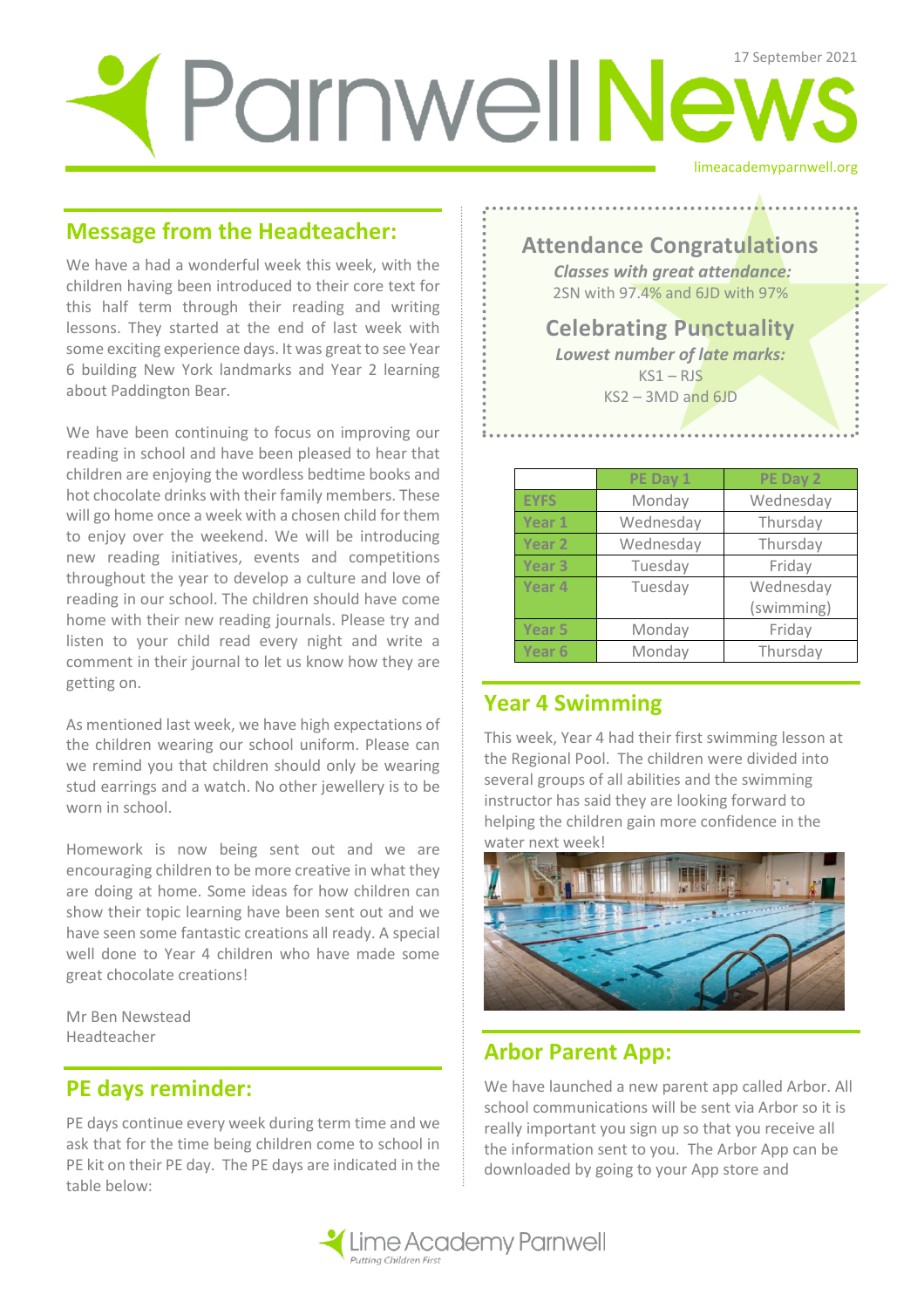# ParnwellNews

# **Message from the Headteacher:**

We have a had a wonderful week this week, with the children having been introduced to their core text for this half term through their reading and writing lessons. They started at the end of last week with some exciting experience days. It was great to see Year 6 building New York landmarks and Year 2 learning about Paddington Bear.

We have been continuing to focus on improving our reading in school and have been pleased to hear that children are enjoying the wordless bedtime books and hot chocolate drinks with their family members. These will go home once a week with a chosen child for them to enjoy over the weekend. We will be introducing new reading initiatives, events and competitions throughout the year to develop a culture and love of reading in our school. The children should have come home with their new reading journals. Please try and listen to your child read every night and write a comment in their journal to let us know how they are getting on.

As mentioned last week, we have high expectations of the children wearing our school uniform. Please can we remind you that children should only be wearing stud earrings and a watch. No other jewellery is to be worn in school.

Homework is now being sent out and we are encouraging children to be more creative in what they are doing at home. Some ideas for how children can show their topic learning have been sent out and we have seen some fantastic creations all ready. A special well done to Year 4 children who have made some great chocolate creations!

Mr Ben Newstead Headteacher

#### **PE days reminder:**

PE days continue every week during term time and we ask that for the time being children come to school in PE kit on their PE day. The PE days are indicated in the table below:

limeacademyparnwell.org

# **Attendance Congratulations**

*Classes with great attendance:* 2SN with 97.4% and 6JD with 97%

#### **Celebrating Punctuality**  *Lowest number of late marks:*

 $KS1 - RIS$ KS2 – 3MD and 6JD

|                   | PE Day 1  | PE Day 2   |
|-------------------|-----------|------------|
| <b>EYFS</b>       | Monday    | Wednesday  |
| Year 1            | Wednesday | Thursday   |
| Year <sub>2</sub> | Wednesday | Thursday   |
| Year <sub>3</sub> | Tuesday   | Friday     |
| Year 4            | Tuesday   | Wednesday  |
|                   |           | (swimming) |
| Year <sub>5</sub> | Monday    | Friday     |
| Year <sub>6</sub> | Monday    | Thursday   |

# **Year 4 Swimming**

This week, Year 4 had their first swimming lesson at the Regional Pool. The children were divided into several groups of all abilities and the swimming instructor has said they are looking forward to helping the children gain more confidence in the water next week!



# **Arbor Parent App:**

We have launched a new parent app called Arbor. All school communications will be sent via Arbor so it is really important you sign up so that you receive all the information sent to you. The Arbor App can be downloaded by going to your App store and